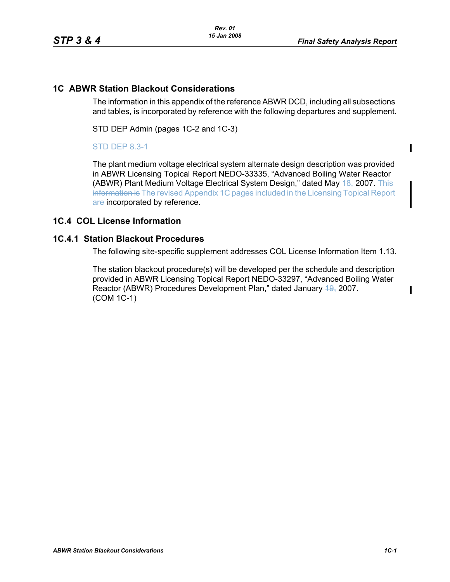$\mathbf I$ 

П

## **1C ABWR Station Blackout Considerations**

The information in this appendix of the reference ABWR DCD, including all subsections and tables, is incorporated by reference with the following departures and supplement.

STD DEP Admin (pages 1C-2 and 1C-3)

### STD DEP 8.3-1

The plant medium voltage electrical system alternate design description was provided in ABWR Licensing Topical Report NEDO-33335, "Advanced Boiling Water Reactor (ABWR) Plant Medium Voltage Electrical System Design," dated May 48, 2007. This information is The revised Appendix 1C pages included in the Licensing Topical Report are incorporated by reference.

### **1C.4 COL License Information**

#### **1C.4.1 Station Blackout Procedures**

The following site-specific supplement addresses COL License Information Item 1.13.

The station blackout procedure(s) will be developed per the schedule and description provided in ABWR Licensing Topical Report NEDO-33297, "Advanced Boiling Water Reactor (ABWR) Procedures Development Plan," dated January 49, 2007. (COM 1C-1)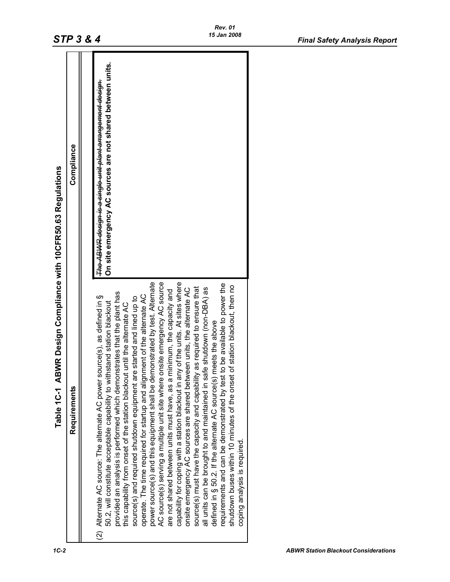| 15 Jan 2008<br>STP 3 & 4                      |              |                                                                                                                                                                                                                                                                                                                                                                                                                                                                                                                                                                                                                                                                                                                                                                                                                                                                                                                                                                                                                                                                                                                                                                                                                                                                                                            | <b>Final Safety Analysis Report</b> |
|-----------------------------------------------|--------------|------------------------------------------------------------------------------------------------------------------------------------------------------------------------------------------------------------------------------------------------------------------------------------------------------------------------------------------------------------------------------------------------------------------------------------------------------------------------------------------------------------------------------------------------------------------------------------------------------------------------------------------------------------------------------------------------------------------------------------------------------------------------------------------------------------------------------------------------------------------------------------------------------------------------------------------------------------------------------------------------------------------------------------------------------------------------------------------------------------------------------------------------------------------------------------------------------------------------------------------------------------------------------------------------------------|-------------------------------------|
| Design Compliance with 10CFR50.63 Regulations | Compliance   | On site emergency AC sources are not shared between units<br>The ABWR design is a single unit plant arrangement design.                                                                                                                                                                                                                                                                                                                                                                                                                                                                                                                                                                                                                                                                                                                                                                                                                                                                                                                                                                                                                                                                                                                                                                                    |                                     |
| <b>ABWR</b><br>Table 1C-1                     | Requirements | AC source(s) serving a multiple unit site where onsite emergency AC source<br>capability for coping with a station blackout in any of the units. At sites where<br>power source(s) and this equipment shall be demonstrated by test. Alternate<br>requirements and can be demonstrated by test to be available to power the<br>shutdown buses within 10 minutes of the onset of station blackout, then no<br>required to ensure that<br>all units can be brought to and maintained in safe shutdown (non-DBA) as<br>onsite emergency AC sources are shared between units, the alternate AC<br>are not shared between units must have, as a minimum, the capacity and<br>provided an analysis is performed which demonstrates that the plant has<br>operate. The time required for startup and alignment of the alternate AC<br>e(s), as defined in §<br>source(s) and required shutdown equipment are started and lined up to<br>50.2, will constitute acceptable capability to withstand station blackout<br>this capability from onset of the station blackout until the alternate AC<br>defined in § 50.2. If the alternate AC source(s) meets the above<br>(2) Alternate AC source: The alternate AC power sourc<br>source(s) must have the capacity and capability as<br>coping analysis is required. |                                     |